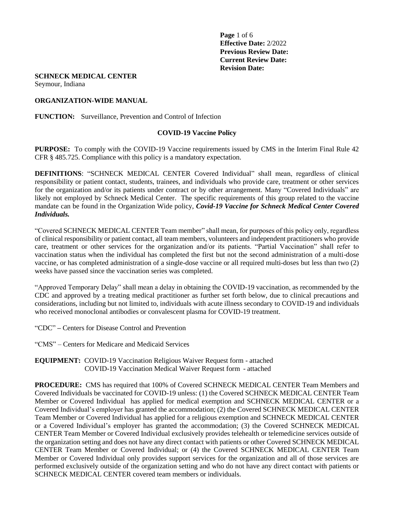**Page** 1 of 6 **Effective Date:** 2/2022 **Previous Review Date: Current Review Date: Revision Date:** 

#### **SCHNECK MEDICAL CENTER**

Seymour, Indiana

#### **ORGANIZATION-WIDE MANUAL**

**FUNCTION:** Surveillance, Prevention and Control of Infection

#### **COVID-19 Vaccine Policy**

**PURPOSE:** To comply with the COVID-19 Vaccine requirements issued by CMS in the Interim Final Rule 42 CFR § 485.725. Compliance with this policy is a mandatory expectation.

**DEFINITIONS**: "SCHNECK MEDICAL CENTER Covered Individual" shall mean, regardless of clinical responsibility or patient contact, students, trainees, and individuals who provide care, treatment or other services for the organization and/or its patients under contract or by other arrangement. Many "Covered Individuals" are likely not employed by Schneck Medical Center. The specific requirements of this group related to the vaccine mandate can be found in the Organization Wide policy, *Covid-19 Vaccine for Schneck Medical Center Covered Individuals.* 

"Covered SCHNECK MEDICAL CENTER Team member" shall mean, for purposes of this policy only, regardless of clinical responsibility or patient contact, all team members, volunteers and independent practitioners who provide care, treatment or other services for the organization and/or its patients. "Partial Vaccination" shall refer to vaccination status when the individual has completed the first but not the second administration of a multi-dose vaccine, or has completed administration of a single-dose vaccine or all required multi-doses but less than two (2) weeks have passed since the vaccination series was completed.

"Approved Temporary Delay" shall mean a delay in obtaining the COVID-19 vaccination, as recommended by the CDC and approved by a treating medical practitioner as further set forth below, due to clinical precautions and considerations, including but not limited to, individuals with acute illness secondary to COVID-19 and individuals who received monoclonal antibodies or convalescent plasma for COVID-19 treatment.

"CDC" **–** Centers for Disease Control and Prevention

"CMS" – Centers for Medicare and Medicaid Services

**EQUIPMENT:** COVID-19 Vaccination Religious Waiver Request form - attached COVID-19 Vaccination Medical Waiver Request form - attached

**PROCEDURE:** CMS has required that 100% of Covered SCHNECK MEDICAL CENTER Team Members and Covered Individuals be vaccinated for COVID-19 unless: (1) the Covered SCHNECK MEDICAL CENTER Team Member or Covered Individual has applied for medical exemption and SCHNECK MEDICAL CENTER or a Covered Individual's employer has granted the accommodation; (2) the Covered SCHNECK MEDICAL CENTER Team Member or Covered Individual has applied for a religious exemption and SCHNECK MEDICAL CENTER or a Covered Individual's employer has granted the accommodation; (3) the Covered SCHNECK MEDICAL CENTER Team Member or Covered Individual exclusively provides telehealth or telemedicine services outside of the organization setting and does not have any direct contact with patients or other Covered SCHNECK MEDICAL CENTER Team Member or Covered Individual; or (4) the Covered SCHNECK MEDICAL CENTER Team Member or Covered Individual only provides support services for the organization and all of those services are performed exclusively outside of the organization setting and who do not have any direct contact with patients or SCHNECK MEDICAL CENTER covered team members or individuals.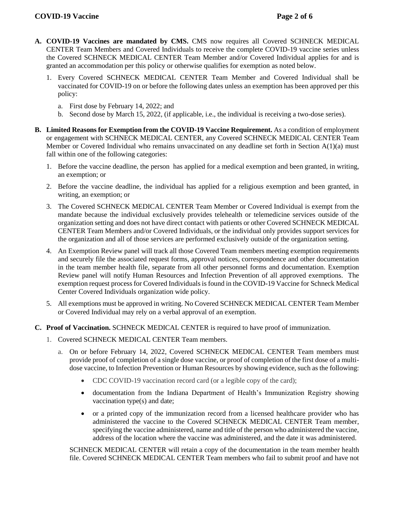- **A. COVID-19 Vaccines are mandated by CMS.** CMS now requires all Covered SCHNECK MEDICAL CENTER Team Members and Covered Individuals to receive the complete COVID-19 vaccine series unless the Covered SCHNECK MEDICAL CENTER Team Member and/or Covered Individual applies for and is granted an accommodation per this policy or otherwise qualifies for exemption as noted below.
	- 1. Every Covered SCHNECK MEDICAL CENTER Team Member and Covered Individual shall be vaccinated for COVID-19 on or before the following dates unless an exemption has been approved per this policy:
		- a. First dose by February 14, 2022; and
		- b. Second dose by March 15, 2022, (if applicable, i.e., the individual is receiving a two-dose series).
- **B. Limited Reasons for Exemption from the COVID-19 Vaccine Requirement.** As a condition of employment or engagement with SCHNECK MEDICAL CENTER, any Covered SCHNECK MEDICAL CENTER Team Member or Covered Individual who remains unvaccinated on any deadline set forth in Section A(1)(a) must fall within one of the following categories:
	- 1. Before the vaccine deadline, the person has applied for a medical exemption and been granted, in writing, an exemption; or
	- 2. Before the vaccine deadline, the individual has applied for a religious exemption and been granted, in writing, an exemption; or
	- 3. The Covered SCHNECK MEDICAL CENTER Team Member or Covered Individual is exempt from the mandate because the individual exclusively provides telehealth or telemedicine services outside of the organization setting and does not have direct contact with patients or other Covered SCHNECK MEDICAL CENTER Team Members and/or Covered Individuals, or the individual only provides support services for the organization and all of those services are performed exclusively outside of the organization setting.
	- 4. An Exemption Review panel will track all those Covered Team members meeting exemption requirements and securely file the associated request forms, approval notices, correspondence and other documentation in the team member health file, separate from all other personnel forms and documentation. Exemption Review panel will notify Human Resources and Infection Prevention of all approved exemptions. The exemption request process for Covered Individuals is found in the COVID-19 Vaccine for Schneck Medical Center Covered Individuals organization wide policy.
	- 5. All exemptions must be approved in writing. No Covered SCHNECK MEDICAL CENTER Team Member or Covered Individual may rely on a verbal approval of an exemption.
- **C. Proof of Vaccination.** SCHNECK MEDICAL CENTER is required to have proof of immunization.
	- 1. Covered SCHNECK MEDICAL CENTER Team members.
		- a. On or before February 14, 2022, Covered SCHNECK MEDICAL CENTER Team members must provide proof of completion of a single dose vaccine, or proof of completion of the first dose of a multidose vaccine, to Infection Prevention or Human Resources by showing evidence, such as the following:
			- CDC COVID-19 vaccination record card (or a legible copy of the card);
			- documentation from the Indiana Department of Health's Immunization Registry showing vaccination type(s) and date;
			- or a printed copy of the immunization record from a licensed healthcare provider who has administered the vaccine to the Covered SCHNECK MEDICAL CENTER Team member, specifying the vaccine administered, name and title of the person who administered the vaccine, address of the location where the vaccine was administered, and the date it was administered.

SCHNECK MEDICAL CENTER will retain a copy of the documentation in the team member health file. Covered SCHNECK MEDICAL CENTER Team members who fail to submit proof and have not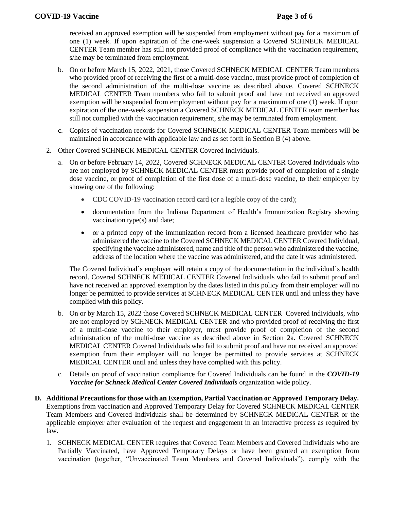received an approved exemption will be suspended from employment without pay for a maximum of one (1) week. If upon expiration of the one-week suspension a Covered SCHNECK MEDICAL CENTER Team member has still not provided proof of compliance with the vaccination requirement, s/he may be terminated from employment.

- b. On or before March 15, 2022, 2021, those Covered SCHNECK MEDICAL CENTER Team members who provided proof of receiving the first of a multi-dose vaccine, must provide proof of completion of the second administration of the multi-dose vaccine as described above. Covered SCHNECK MEDICAL CENTER Team members who fail to submit proof and have not received an approved exemption will be suspended from employment without pay for a maximum of one (1) week. If upon expiration of the one-week suspension a Covered SCHNECK MEDICAL CENTER team member has still not complied with the vaccination requirement, s/he may be terminated from employment.
- c. Copies of vaccination records for Covered SCHNECK MEDICAL CENTER Team members will be maintained in accordance with applicable law and as set forth in Section B (4) above.
- 2. Other Covered SCHNECK MEDICAL CENTER Covered Individuals.
	- a. On or before February 14, 2022, Covered SCHNECK MEDICAL CENTER Covered Individuals who are not employed by SCHNECK MEDICAL CENTER must provide proof of completion of a single dose vaccine, or proof of completion of the first dose of a multi-dose vaccine, to their employer by showing one of the following:
		- CDC COVID-19 vaccination record card (or a legible copy of the card);
		- documentation from the Indiana Department of Health's Immunization Registry showing vaccination type(s) and date;
		- or a printed copy of the immunization record from a licensed healthcare provider who has administered the vaccine to the Covered SCHNECK MEDICAL CENTER Covered Individual, specifying the vaccine administered, name and title of the person who administered the vaccine, address of the location where the vaccine was administered, and the date it was administered.

The Covered Individual's employer will retain a copy of the documentation in the individual's health record. Covered SCHNECK MEDICAL CENTER Covered Individuals who fail to submit proof and have not received an approved exemption by the dates listed in this policy from their employer will no longer be permitted to provide services at SCHNECK MEDICAL CENTER until and unless they have complied with this policy.

- b. On or by March 15, 2022 those Covered SCHNECK MEDICAL CENTER Covered Individuals, who are not employed by SCHNECK MEDICAL CENTER and who provided proof of receiving the first of a multi-dose vaccine to their employer, must provide proof of completion of the second administration of the multi-dose vaccine as described above in Section 2a. Covered SCHNECK MEDICAL CENTER Covered Individuals who fail to submit proof and have not received an approved exemption from their employer will no longer be permitted to provide services at SCHNECK MEDICAL CENTER until and unless they have complied with this policy.
- c. Details on proof of vaccination compliance for Covered Individuals can be found in the *COVID-19 Vaccine for Schneck Medical Center Covered Individuals* organization wide policy.
- **D. Additional Precautions for those with an Exemption, Partial Vaccination or Approved Temporary Delay.**  Exemptions from vaccination and Approved Temporary Delay for Covered SCHNECK MEDICAL CENTER Team Members and Covered Individuals shall be determined by SCHNECK MEDICAL CENTER or the applicable employer after evaluation of the request and engagement in an interactive process as required by law.
	- 1. SCHNECK MEDICAL CENTER requires that Covered Team Members and Covered Individuals who are Partially Vaccinated, have Approved Temporary Delays or have been granted an exemption from vaccination (together, "Unvaccinated Team Members and Covered Individuals"), comply with the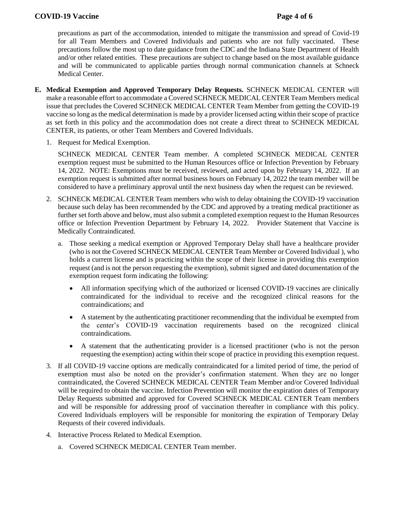# **COVID-19 Vaccine Page 4 of 6**

precautions as part of the accommodation, intended to mitigate the transmission and spread of Covid-19 for all Team Members and Covered Individuals and patients who are not fully vaccinated. These precautions follow the most up to date guidance from the CDC and the Indiana State Department of Health and/or other related entities. These precautions are subject to change based on the most available guidance and will be communicated to applicable parties through normal communication channels at Schneck Medical Center.

- **E. Medical Exemption and Approved Temporary Delay Requests.** SCHNECK MEDICAL CENTER will make a reasonable effort to accommodate a Covered SCHNECK MEDICAL CENTER Team Members medical issue that precludes the Covered SCHNECK MEDICAL CENTER Team Member from getting the COVID-19 vaccine so long as the medical determination is made by a provider licensed acting within their scope of practice as set forth in this policy and the accommodation does not create a direct threat to SCHNECK MEDICAL CENTER, its patients, or other Team Members and Covered Individuals.
	- 1. Request for Medical Exemption.

SCHNECK MEDICAL CENTER Team member. A completed SCHNECK MEDICAL CENTER exemption request must be submitted to the Human Resources office or Infection Prevention by February 14, 2022. NOTE: Exemptions must be received, reviewed, and acted upon by February 14, 2022. If an exemption request is submitted after normal business hours on February 14, 2022 the team member will be considered to have a preliminary approval until the next business day when the request can be reviewed.

- 2. SCHNECK MEDICAL CENTER Team members who wish to delay obtaining the COVID-19 vaccination because such delay has been recommended by the CDC and approved by a treating medical practitioner as further set forth above and below, must also submit a completed exemption request to the Human Resources office or Infection Prevention Department by February 14, 2022. Provider Statement that Vaccine is Medically Contraindicated.
	- a. Those seeking a medical exemption or Approved Temporary Delay shall have a healthcare provider (who is not the Covered SCHNECK MEDICAL CENTER Team Member or Covered Individual ), who holds a current license and is practicing within the scope of their license in providing this exemption request (and is not the person requesting the exemption), submit signed and dated documentation of the exemption request form indicating the following:
		- All information specifying which of the authorized or licensed COVID-19 vaccines are clinically contraindicated for the individual to receive and the recognized clinical reasons for the contraindications; and
		- A statement by the authenticating practitioner recommending that the individual be exempted from the center's COVID-19 vaccination requirements based on the recognized clinical contraindications.
		- A statement that the authenticating provider is a licensed practitioner (who is not the person requesting the exemption) acting within their scope of practice in providing this exemption request.
- 3. If all COVID-19 vaccine options are medically contraindicated for a limited period of time, the period of exemption must also be noted on the provider's confirmation statement. When they are no longer contraindicated, the Covered SCHNECK MEDICAL CENTER Team Member and/or Covered Individual will be required to obtain the vaccine. Infection Prevention will monitor the expiration dates of Temporary Delay Requests submitted and approved for Covered SCHNECK MEDICAL CENTER Team members and will be responsible for addressing proof of vaccination thereafter in compliance with this policy. Covered Individuals employers will be responsible for monitoring the expiration of Temporary Delay Requests of their covered individuals.
- 4. Interactive Process Related to Medical Exemption.
	- a. Covered SCHNECK MEDICAL CENTER Team member.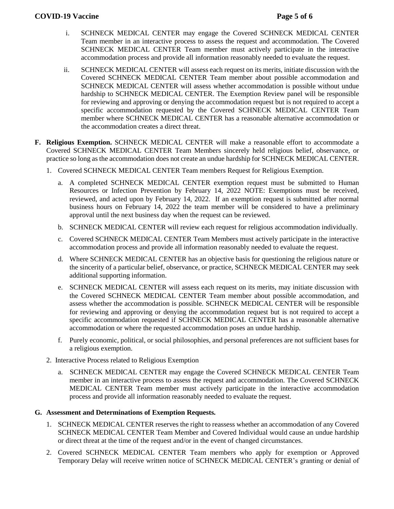# **COVID-19 Vaccine Page 5 of 6**

- i. SCHNECK MEDICAL CENTER may engage the Covered SCHNECK MEDICAL CENTER Team member in an interactive process to assess the request and accommodation. The Covered SCHNECK MEDICAL CENTER Team member must actively participate in the interactive accommodation process and provide all information reasonably needed to evaluate the request.
- ii. SCHNECK MEDICAL CENTER will assess each request on its merits, initiate discussion with the Covered SCHNECK MEDICAL CENTER Team member about possible accommodation and SCHNECK MEDICAL CENTER will assess whether accommodation is possible without undue hardship to SCHNECK MEDICAL CENTER. The Exemption Review panel will be responsible for reviewing and approving or denying the accommodation request but is not required to accept a specific accommodation requested by the Covered SCHNECK MEDICAL CENTER Team member where SCHNECK MEDICAL CENTER has a reasonable alternative accommodation or the accommodation creates a direct threat.
- **F. Religious Exemption.** SCHNECK MEDICAL CENTER will make a reasonable effort to accommodate a Covered SCHNECK MEDICAL CENTER Team Members sincerely held religious belief, observance, or practice so long as the accommodation does not create an undue hardship for SCHNECK MEDICAL CENTER.
	- 1. Covered SCHNECK MEDICAL CENTER Team members Request for Religious Exemption.
		- a. A completed SCHNECK MEDICAL CENTER exemption request must be submitted to Human Resources or Infection Prevention by February 14, 2022 NOTE: Exemptions must be received, reviewed, and acted upon by February 14, 2022. If an exemption request is submitted after normal business hours on February 14, 2022 the team member will be considered to have a preliminary approval until the next business day when the request can be reviewed.
		- b. SCHNECK MEDICAL CENTER will review each request for religious accommodation individually.
		- c. Covered SCHNECK MEDICAL CENTER Team Members must actively participate in the interactive accommodation process and provide all information reasonably needed to evaluate the request.
		- d. Where SCHNECK MEDICAL CENTER has an objective basis for questioning the religious nature or the sincerity of a particular belief, observance, or practice, SCHNECK MEDICAL CENTER may seek additional supporting information.
		- e. SCHNECK MEDICAL CENTER will assess each request on its merits, may initiate discussion with the Covered SCHNECK MEDICAL CENTER Team member about possible accommodation, and assess whether the accommodation is possible. SCHNECK MEDICAL CENTER will be responsible for reviewing and approving or denying the accommodation request but is not required to accept a specific accommodation requested if SCHNECK MEDICAL CENTER has a reasonable alternative accommodation or where the requested accommodation poses an undue hardship.
		- f. Purely economic, political, or social philosophies, and personal preferences are not sufficient bases for a religious exemption.
	- 2. Interactive Process related to Religious Exemption
		- a. SCHNECK MEDICAL CENTER may engage the Covered SCHNECK MEDICAL CENTER Team member in an interactive process to assess the request and accommodation. The Covered SCHNECK MEDICAL CENTER Team member must actively participate in the interactive accommodation process and provide all information reasonably needed to evaluate the request.

# **G. Assessment and Determinations of Exemption Requests.**

- 1. SCHNECK MEDICAL CENTER reserves the right to reassess whether an accommodation of any Covered SCHNECK MEDICAL CENTER Team Member and Covered Individual would cause an undue hardship or direct threat at the time of the request and/or in the event of changed circumstances.
- 2. Covered SCHNECK MEDICAL CENTER Team members who apply for exemption or Approved Temporary Delay will receive written notice of SCHNECK MEDICAL CENTER's granting or denial of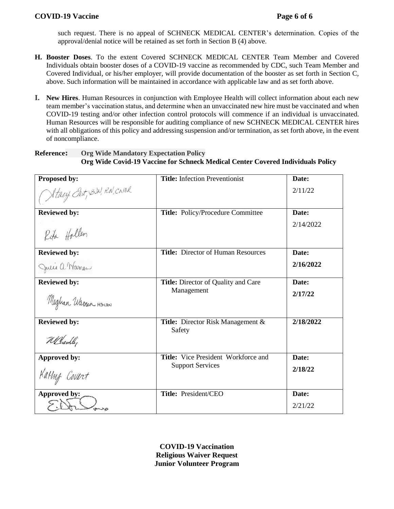# **COVID-19 Vaccine Page 6 of 6**

such request. There is no appeal of SCHNECK MEDICAL CENTER's determination. Copies of the approval/denial notice will be retained as set forth in Section B (4) above.

- **H. Booster Doses**. To the extent Covered SCHNECK MEDICAL CENTER Team Member and Covered Individuals obtain booster doses of a COVID-19 vaccine as recommended by CDC, such Team Member and Covered Individual, or his/her employer, will provide documentation of the booster as set forth in Section C, above. Such information will be maintained in accordance with applicable law and as set forth above.
- **I. New Hires**. Human Resources in conjunction with Employee Health will collect information about each new team member's vaccination status, and determine when an unvaccinated new hire must be vaccinated and when COVID-19 testing and/or other infection control protocols will commence if an individual is unvaccinated. Human Resources will be responsible for auditing compliance of new SCHNECK MEDICAL CENTER hires with all obligations of this policy and addressing suspension and/or termination, as set forth above, in the event of noncompliance.

# **Reference: Org Wide Mandatory Expectation Policy Org Wide Covid-19 Vaccine for Schneck Medical Center Covered Individuals Policy**

| Proposed by:              | <b>Title:</b> Infection Preventionist     | Date:     |
|---------------------------|-------------------------------------------|-----------|
| Stacy East, BUN, RN, CNBR |                                           | 2/11/22   |
| <b>Reviewed by:</b>       | Title: Policy/Procedure Committee         | Date:     |
| Rifa Hollen               |                                           | 2/14/2022 |
| <b>Reviewed by:</b>       | <b>Title: Director of Human Resources</b> | Date:     |
| Julie a. Warren           |                                           | 2/16/2022 |
| <b>Reviewed by:</b>       | Title: Director of Quality and Care       | Date:     |
| Meghan Warren HSV, RN     | Management                                | 2/17/22   |
| <b>Reviewed by:</b>       | <b>Title:</b> Director Risk Management &  | 2/18/2022 |
| Wellaully                 | Safety                                    |           |
| Approved by:              | Title: Vice President Workforce and       | Date:     |
| Kathy Covert              | <b>Support Services</b>                   | 2/18/22   |
| Approved by:              | Title: President/CEO                      | Date:     |
|                           |                                           | 2/21/22   |

**COVID-19 Vaccination Religious Waiver Request Junior Volunteer Program**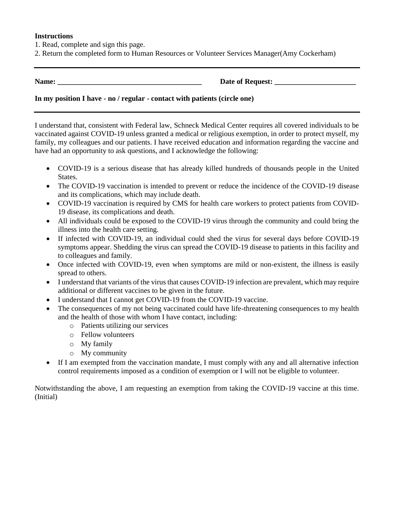### **Instructions**

- 1. Read, complete and sign this page.
- 2. Return the completed form to Human Resources or Volunteer Services Manager(Amy Cockerham)

**Name: \_\_\_\_\_\_\_\_\_\_\_\_\_\_\_\_\_\_\_\_\_\_\_\_\_\_\_\_\_\_\_\_\_\_\_\_\_\_\_ Date of Request: \_\_\_\_\_\_\_\_\_\_\_\_\_\_\_\_\_\_\_\_\_\_**

# **In my position I have - no / regular - contact with patients (circle one)**

I understand that, consistent with Federal law, Schneck Medical Center requires all covered individuals to be vaccinated against COVID-19 unless granted a medical or religious exemption, in order to protect myself, my family, my colleagues and our patients. I have received education and information regarding the vaccine and have had an opportunity to ask questions, and I acknowledge the following:

- COVID-19 is a serious disease that has already killed hundreds of thousands people in the United States.
- The COVID-19 vaccination is intended to prevent or reduce the incidence of the COVID-19 disease and its complications, which may include death.
- COVID-19 vaccination is required by CMS for health care workers to protect patients from COVID-19 disease, its complications and death.
- All individuals could be exposed to the COVID-19 virus through the community and could bring the illness into the health care setting.
- If infected with COVID-19, an individual could shed the virus for several days before COVID-19 symptoms appear. Shedding the virus can spread the COVID-19 disease to patients in this facility and to colleagues and family.
- Once infected with COVID-19, even when symptoms are mild or non-existent, the illness is easily spread to others.
- I understand that variants of the virus that causes COVID-19 infection are prevalent, which may require additional or different vaccines to be given in the future.
- I understand that I cannot get COVID-19 from the COVID-19 vaccine.
- The consequences of my not being vaccinated could have life-threatening consequences to my health and the health of those with whom I have contact, including:
	- o Patients utilizing our services
	- o Fellow volunteers
	- o My family
	- o My community
- If I am exempted from the vaccination mandate, I must comply with any and all alternative infection control requirements imposed as a condition of exemption or I will not be eligible to volunteer.

Notwithstanding the above, I am requesting an exemption from taking the COVID-19 vaccine at this time. (Initial)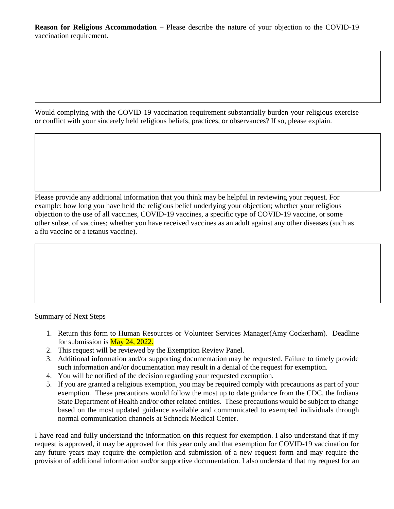**Reason for Religious Accommodation –** Please describe the nature of your objection to the COVID-19 vaccination requirement.

Would complying with the COVID-19 vaccination requirement substantially burden your religious exercise or conflict with your sincerely held religious beliefs, practices, or observances? If so, please explain.

Please provide any additional information that you think may be helpful in reviewing your request. For example: how long you have held the religious belief underlying your objection; whether your religious objection to the use of all vaccines, COVID-19 vaccines, a specific type of COVID-19 vaccine, or some other subset of vaccines; whether you have received vaccines as an adult against any other diseases (such as a flu vaccine or a tetanus vaccine).

# Summary of Next Steps

- 1. Return this form to Human Resources or Volunteer Services Manager(Amy Cockerham). Deadline for submission is  $\frac{\text{May }24, 2022.}{\text{My }2000}$
- 2. This request will be reviewed by the Exemption Review Panel.
- 3. Additional information and/or supporting documentation may be requested. Failure to timely provide such information and/or documentation may result in a denial of the request for exemption.
- 4. You will be notified of the decision regarding your requested exemption.
- 5. If you are granted a religious exemption, you may be required comply with precautions as part of your exemption. These precautions would follow the most up to date guidance from the CDC, the Indiana State Department of Health and/or other related entities. These precautions would be subject to change based on the most updated guidance available and communicated to exempted individuals through normal communication channels at Schneck Medical Center.

I have read and fully understand the information on this request for exemption. I also understand that if my request is approved, it may be approved for this year only and that exemption for COVID-19 vaccination for any future years may require the completion and submission of a new request form and may require the provision of additional information and/or supportive documentation. I also understand that my request for an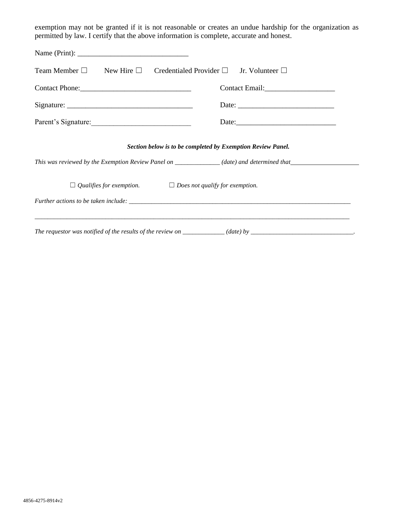exemption may not be granted if it is not reasonable or creates an undue hardship for the organization as permitted by law. I certify that the above information is complete, accurate and honest.

| Team Member $\square$ New Hire $\square$ Credentialed Provider $\square$ Jr. Volunteer $\square$                                                          |  |  |
|-----------------------------------------------------------------------------------------------------------------------------------------------------------|--|--|
| Contact Phone: 2008                                                                                                                                       |  |  |
|                                                                                                                                                           |  |  |
| Parent's Signature:                                                                                                                                       |  |  |
| Section below is to be completed by Exemption Review Panel.<br>This was reviewed by the Exemption Review Panel on _____________(date) and determined that |  |  |
| $\Box$ Qualifies for exemption. $\Box$ Does not qualify for exemption.                                                                                    |  |  |
|                                                                                                                                                           |  |  |
| The requestor was notified of the results of the review on $\frac{1}{\sqrt{1-\frac{1}{n}}}$ (date) by $\frac{1}{\sqrt{1-\frac{1}{n}}}$                    |  |  |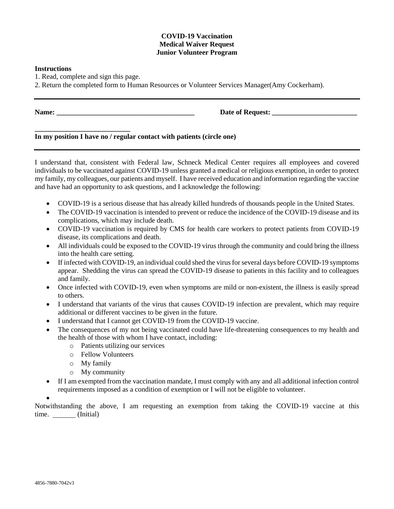#### **COVID-19 Vaccination Medical Waiver Request Junior Volunteer Program**

#### **Instructions**

1. Read, complete and sign this page.

**\_\_\_\_\_\_\_\_\_\_\_\_\_\_\_\_\_\_\_\_\_\_\_\_\_\_\_**

2. Return the completed form to Human Resources or Volunteer Services Manager(Amy Cockerham).

**Name: \_\_\_\_\_\_\_\_\_\_\_\_\_\_\_\_\_\_\_\_\_\_\_\_\_\_\_\_\_\_\_\_\_\_\_\_\_\_\_ Date of Request: \_\_\_\_\_\_\_\_\_\_\_\_\_\_\_\_\_\_\_\_\_\_\_\_**

# **In my position I have no / regular contact with patients (circle one)**

I understand that, consistent with Federal law, Schneck Medical Center requires all employees and covered individuals to be vaccinated against COVID-19 unless granted a medical or religious exemption, in order to protect my family, my colleagues, our patients and myself. I have received education and information regarding the vaccine and have had an opportunity to ask questions, and I acknowledge the following:

- COVID-19 is a serious disease that has already killed hundreds of thousands people in the United States.
- The COVID-19 vaccination is intended to prevent or reduce the incidence of the COVID-19 disease and its complications, which may include death.
- COVID-19 vaccination is required by CMS for health care workers to protect patients from COVID-19 disease, its complications and death.
- All individuals could be exposed to the COVID-19 virus through the community and could bring the illness into the health care setting.
- If infected with COVID-19, an individual could shed the virus for several days before COVID-19 symptoms appear. Shedding the virus can spread the COVID-19 disease to patients in this facility and to colleagues and family.
- Once infected with COVID-19, even when symptoms are mild or non-existent, the illness is easily spread to others.
- I understand that variants of the virus that causes COVID-19 infection are prevalent, which may require additional or different vaccines to be given in the future.
- I understand that I cannot get COVID-19 from the COVID-19 vaccine.
- The consequences of my not being vaccinated could have life-threatening consequences to my health and the health of those with whom I have contact, including:
	- o Patients utilizing our services
	- o Fellow Volunteers
	- o My family
	- o My community
- If I am exempted from the vaccination mandate, I must comply with any and all additional infection control requirements imposed as a condition of exemption or I will not be eligible to volunteer.

 $\bullet$ 

Notwithstanding the above, I am requesting an exemption from taking the COVID-19 vaccine at this time. (Initial)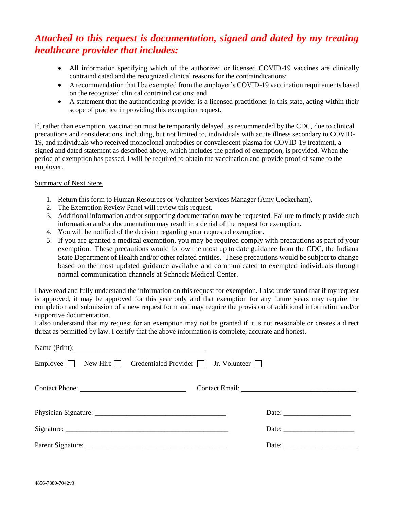# *Attached to this request is documentation, signed and dated by my treating healthcare provider that includes:*

- All information specifying which of the authorized or licensed COVID-19 vaccines are clinically contraindicated and the recognized clinical reasons for the contraindications;
- A recommendation that I be exempted from the employer's COVID-19 vaccination requirements based on the recognized clinical contraindications; and
- A statement that the authenticating provider is a licensed practitioner in this state, acting within their scope of practice in providing this exemption request.

If, rather than exemption, vaccination must be temporarily delayed, as recommended by the CDC, due to clinical precautions and considerations, including, but not limited to, individuals with acute illness secondary to COVID-19, and individuals who received monoclonal antibodies or convalescent plasma for COVID-19 treatment, a signed and dated statement as described above, which includes the period of exemption, is provided. When the period of exemption has passed, I will be required to obtain the vaccination and provide proof of same to the employer.

### Summary of Next Steps

- 1. Return this form to Human Resources or Volunteer Services Manager (Amy Cockerham).
- 2. The Exemption Review Panel will review this request.
- 3. Additional information and/or supporting documentation may be requested. Failure to timely provide such information and/or documentation may result in a denial of the request for exemption.
- 4. You will be notified of the decision regarding your requested exemption.
- 5. If you are granted a medical exemption, you may be required comply with precautions as part of your exemption. These precautions would follow the most up to date guidance from the CDC, the Indiana State Department of Health and/or other related entities. These precautions would be subject to change based on the most updated guidance available and communicated to exempted individuals through normal communication channels at Schneck Medical Center.

I have read and fully understand the information on this request for exemption. I also understand that if my request is approved, it may be approved for this year only and that exemption for any future years may require the completion and submission of a new request form and may require the provision of additional information and/or supportive documentation.

I also understand that my request for an exemption may not be granted if it is not reasonable or creates a direct threat as permitted by law. I certify that the above information is complete, accurate and honest.

| Employee $\Box$ New Hire $\Box$ Credentialed Provider $\Box$ Jr. Volunteer $\Box$ |                       |
|-----------------------------------------------------------------------------------|-----------------------|
|                                                                                   |                       |
|                                                                                   |                       |
|                                                                                   | Date: $\qquad \qquad$ |
| Parent Signature:                                                                 | Date: $\qquad \qquad$ |